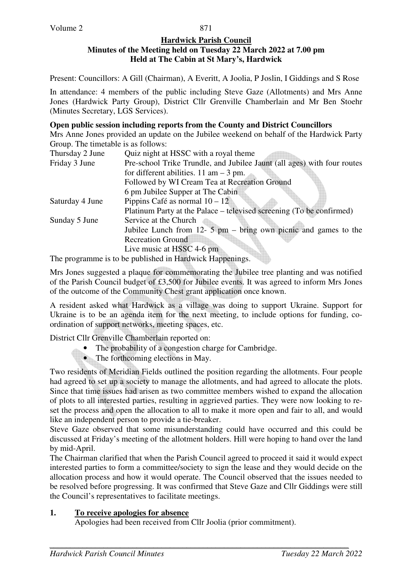#### **Hardwick Parish Council Minutes of the Meeting held on Tuesday 22 March 2022 at 7.00 pm Held at The Cabin at St Mary's, Hardwick**

Present: Councillors: A Gill (Chairman), A Everitt, A Joolia, P Joslin, I Giddings and S Rose

In attendance: 4 members of the public including Steve Gaze (Allotments) and Mrs Anne Jones (Hardwick Party Group), District Cllr Grenville Chamberlain and Mr Ben Stoehr (Minutes Secretary, LGS Services).

#### **Open public session including reports from the County and District Councillors**

Mrs Anne Jones provided an update on the Jubilee weekend on behalf of the Hardwick Party Group. The timetable is as follows:

| Pre-school Trike Trundle, and Jubilee Jaunt (all ages) with four routes<br>Friday 3 June |  |
|------------------------------------------------------------------------------------------|--|
|                                                                                          |  |
| for different abilities. $11 \text{ am} - 3 \text{ pm}$ .                                |  |
| Followed by WI Cream Tea at Recreation Ground                                            |  |
| 6 pm Jubilee Supper at The Cabin                                                         |  |
| Pippins Café as normal $10 - 12$<br>Saturday 4 June                                      |  |
| Platinum Party at the Palace – televised screening (To be confirmed)                     |  |
| Service at the Church<br>Sunday 5 June                                                   |  |
| Jubilee Lunch from $12 - 5$ pm $-$ bring own picnic and games to the                     |  |
| <b>Recreation Ground</b>                                                                 |  |
| Live music at HSSC 4-6 pm                                                                |  |

The programme is to be published in Hardwick Happenings.

Mrs Jones suggested a plaque for commemorating the Jubilee tree planting and was notified of the Parish Council budget of £3,500 for Jubilee events. It was agreed to inform Mrs Jones of the outcome of the Community Chest grant application once known.

A resident asked what Hardwick as a village was doing to support Ukraine. Support for Ukraine is to be an agenda item for the next meeting, to include options for funding, coordination of support networks, meeting spaces, etc.

District Cllr Grenville Chamberlain reported on:

- The probability of a congestion charge for Cambridge.
- The forthcoming elections in May.

Two residents of Meridian Fields outlined the position regarding the allotments. Four people had agreed to set up a society to manage the allotments, and had agreed to allocate the plots. Since that time issues had arisen as two committee members wished to expand the allocation of plots to all interested parties, resulting in aggrieved parties. They were now looking to reset the process and open the allocation to all to make it more open and fair to all, and would like an independent person to provide a tie-breaker.

Steve Gaze observed that some misunderstanding could have occurred and this could be discussed at Friday's meeting of the allotment holders. Hill were hoping to hand over the land by mid-April.

The Chairman clarified that when the Parish Council agreed to proceed it said it would expect interested parties to form a committee/society to sign the lease and they would decide on the allocation process and how it would operate. The Council observed that the issues needed to be resolved before progressing. It was confirmed that Steve Gaze and Cllr Giddings were still the Council's representatives to facilitate meetings.

## **1. To receive apologies for absence**

Apologies had been received from Cllr Joolia (prior commitment).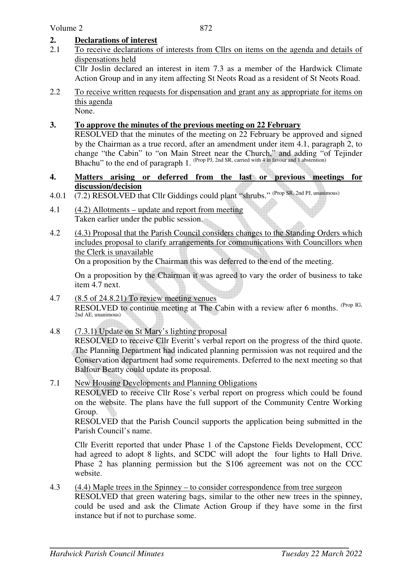## **2. Declarations of interest**

- 2.1 To receive declarations of interests from Cllrs on items on the agenda and details of dispensations held Cllr Joslin declared an interest in item 7.3 as a member of the Hardwick Climate Action Group and in any item affecting St Neots Road as a resident of St Neots Road.
- 2.2 To receive written requests for dispensation and grant any as appropriate for items on this agenda None.

#### **3. To approve the minutes of the previous meeting on 22 February**

RESOLVED that the minutes of the meeting on 22 February be approved and signed by the Chairman as a true record, after an amendment under item 4.1, paragraph 2, to change "the Cabin" to "on Main Street near the Church," and adding "of Tejinder Bhachu" to the end of paragraph 1. (Prop PJ, 2nd SR, carried with 4 in favour and 1 abstention)

- **4. Matters arising or deferred from the last or previous meetings for discussion/decision**
- 4.0.1 (7.2) RESOLVED that Cllr Giddings could plant "shrubs." (Prop SR, 2nd PJ, unanimous)
- 4.1 (4.2) Allotments update and report from meeting Taken earlier under the public session.
- 4.2 (4.3) Proposal that the Parish Council considers changes to the Standing Orders which includes proposal to clarify arrangements for communications with Councillors when the Clerk is unavailable

On a proposition by the Chairman this was deferred to the end of the meeting.

On a proposition by the Chairman it was agreed to vary the order of business to take item 4.7 next.

- 4.7 (8.5 of 24.8.21) To review meeting venues RESOLVED to continue meeting at The Cabin with a review after 6 months. (Prop IG, 2nd AE, unanimous)
- 4.8 (7.3.1) Update on St Mary's lighting proposal

 RESOLVED to receive Cllr Everitt's verbal report on the progress of the third quote. The Planning Department had indicated planning permission was not required and the Conservation department had some requirements. Deferred to the next meeting so that Balfour Beatty could update its proposal.

7.1 New Housing Developments and Planning Obligations

 RESOLVED to receive Cllr Rose's verbal report on progress which could be found on the website. The plans have the full support of the Community Centre Working Group.

 RESOLVED that the Parish Council supports the application being submitted in the Parish Council's name.

 Cllr Everitt reported that under Phase 1 of the Capstone Fields Development, CCC had agreed to adopt 8 lights, and SCDC will adopt the four lights to Hall Drive. Phase 2 has planning permission but the S106 agreement was not on the CCC website.

4.3 (4.4) Maple trees in the Spinney – to consider correspondence from tree surgeon RESOLVED that green watering bags, similar to the other new trees in the spinney, could be used and ask the Climate Action Group if they have some in the first instance but if not to purchase some.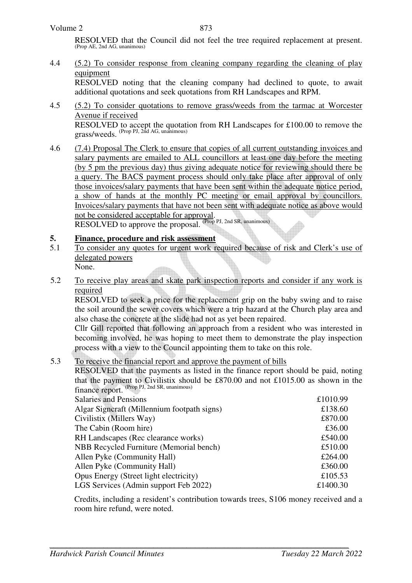RESOLVED that the Council did not feel the tree required replacement at present. (Prop AE, 2nd AG, unanimous)

### 4.4 (5.2) To consider response from cleaning company regarding the cleaning of play equipment

 RESOLVED noting that the cleaning company had declined to quote, to await additional quotations and seek quotations from RH Landscapes and RPM.

- 4.5 (5.2) To consider quotations to remove grass/weeds from the tarmac at Worcester Avenue if received RESOLVED to accept the quotation from RH Landscapes for £100.00 to remove the grass/weeds. (Prop PJ, 2nd AG, unanimous)
- 4.6 (7.4) Proposal The Clerk to ensure that copies of all current outstanding invoices and salary payments are emailed to ALL councillors at least one day before the meeting (by 5 pm the previous day) thus giving adequate notice for reviewing should there be a query. The BACS payment process should only take place after approval of only those invoices/salary payments that have been sent within the adequate notice period, a show of hands at the monthly PC meeting or email approval by councillors. Invoices/salary payments that have not been sent with adequate notice as above would not be considered acceptable for approval. RESOLVED to approve the proposal. (Prop PJ, 2nd SR, unanimous)

#### **5. Finance, procedure and risk assessment**

- 5.1 To consider any quotes for urgent work required because of risk and Clerk's use of delegated powers None.
- 5.2 To receive play areas and skate park inspection reports and consider if any work is required

RESOLVED to seek a price for the replacement grip on the baby swing and to raise the soil around the sewer covers which were a trip hazard at the Church play area and also chase the concrete at the slide had not as yet been repaired.

Cllr Gill reported that following an approach from a resident who was interested in becoming involved, he was hoping to meet them to demonstrate the play inspection process with a view to the Council appointing them to take on this role.

#### 5.3 To receive the financial report and approve the payment of bills

RESOLVED that the payments as listed in the finance report should be paid, noting that the payment to Civilistix should be £870.00 and not £1015.00 as shown in the finance report. (Prop PJ, 2nd SR, unanimous)

| £1010.99 |
|----------|
| £138.60  |
| £870.00  |
| £36.00   |
| £540.00  |
| £510.00  |
| £264.00  |
| £360.00  |
| £105.53  |
| £1400.30 |
|          |

Credits, including a resident's contribution towards trees, S106 money received and a room hire refund, were noted.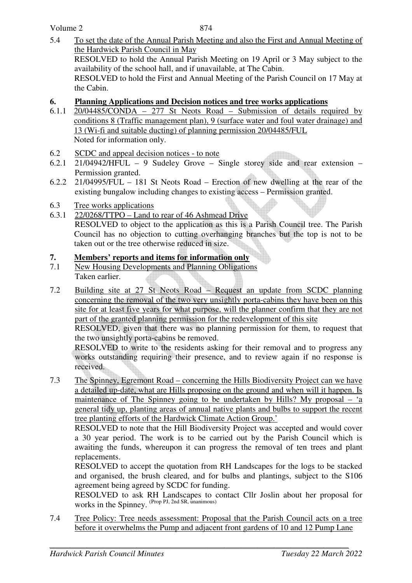### Volume 2

5.4 To set the date of the Annual Parish Meeting and also the First and Annual Meeting of the Hardwick Parish Council in May RESOLVED to hold the Annual Parish Meeting on 19 April or 3 May subject to the availability of the school hall, and if unavailable, at The Cabin. RESOLVED to hold the First and Annual Meeting of the Parish Council on 17 May at the Cabin.

## **6. Planning Applications and Decision notices and tree works applications**

- 6.1.1 20/04485/CONDA 277 St Neots Road Submission of details required by conditions 8 (Traffic management plan), 9 (surface water and foul water drainage) and 13 (Wi-fi and suitable ducting) of planning permission 20/04485/FUL Noted for information only.
- 6.2 SCDC and appeal decision notices to note
- 6.2.1 21/04942/HFUL 9 Sudeley Grove Single storey side and rear extension Permission granted.
- 6.2.2 21/04995/FUL 181 St Neots Road Erection of new dwelling at the rear of the existing bungalow including changes to existing access – Permission granted.
- 6.3 Tree works applications
- 6.3.1 22/0268/TTPO Land to rear of 46 Ashmead Drive

RESOLVED to object to the application as this is a Parish Council tree. The Parish Council has no objection to cutting overhanging branches but the top is not to be taken out or the tree otherwise reduced in size.

# **7. Members' reports and items for information only**

- 7.1 New Housing Developments and Planning Obligations Taken earlier.
- 7.2 Building site at 27 St Neots Road Request an update from SCDC planning concerning the removal of the two very unsightly porta-cabins they have been on this site for at least five years for what purpose, will the planner confirm that they are not part of the granted planning permission for the redevelopment of this site

 RESOLVED, given that there was no planning permission for them, to request that the two unsightly porta-cabins be removed.

 RESOLVED to write to the residents asking for their removal and to progress any works outstanding requiring their presence, and to review again if no response is received.

7.3 The Spinney, Egremont Road – concerning the Hills Biodiversity Project can we have a detailed up-date, what are Hills proposing on the ground and when will it happen. Is maintenance of The Spinney going to be undertaken by Hills? My proposal – 'a general tidy up, planting areas of annual native plants and bulbs to support the recent tree planting efforts of the Hardwick Climate Action Group.'

 RESOLVED to note that the Hill Biodiversity Project was accepted and would cover a 30 year period. The work is to be carried out by the Parish Council which is awaiting the funds, whereupon it can progress the removal of ten trees and plant replacements.

 RESOLVED to accept the quotation from RH Landscapes for the logs to be stacked and organised, the brush cleared, and for bulbs and plantings, subject to the S106 agreement being agreed by SCDC for funding.

 RESOLVED to ask RH Landscapes to contact Cllr Joslin about her proposal for works in the Spinney. (Prop PJ, 2nd SR, unanimous)

7.4 Tree Policy: Tree needs assessment: Proposal that the Parish Council acts on a tree before it overwhelms the Pump and adjacent front gardens of 10 and 12 Pump Lane